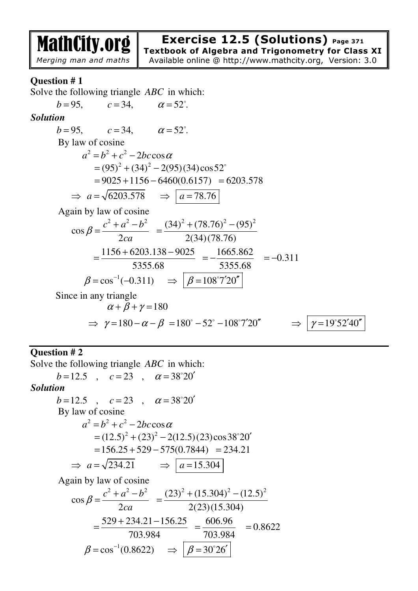MathCity.org

### *Merging man and maths*

**Exercise 12.5 (Solutions) Page 371**

**Textbook of Algebra and Trigonometry for Class XI** Available online @ http://www.mathcity.org, Version: 3.0

# **Question # 1**

Solve the following triangle *ABC* in which:

$$
b=95, \quad c=34, \quad \alpha = 52^{\circ}.
$$
  
\nSolution  
\n
$$
b=95, \quad c=34, \quad \alpha = 52^{\circ}.
$$
  
\nBy law of cosine  
\n
$$
a^2 = b^2 + c^2 - 2bc \cos \alpha
$$
  
\n
$$
= (95)^2 + (34)^2 - 2(95)(34)\cos 52^{\circ}
$$
  
\n
$$
= 9025 + 1156 - 6460(0.6157) = 6203.578
$$
  
\n
$$
\Rightarrow a = \sqrt{6203.578} \Rightarrow \boxed{a = 78.76}
$$
  
\nAgain by law of cosine  
\n
$$
\cos \beta = \frac{c^2 + a^2 - b^2}{2ca} = \frac{(34)^2 + (78.76)^2 - (95)^2}{2(34)(78.76)}
$$
  
\n
$$
= \frac{1156 + 6203.138 - 9025}{5355.68} = \frac{-1665.862}{5355.68} = -0.311
$$
  
\n
$$
\beta = \cos^{-1}(-0.311) \Rightarrow \boxed{\beta = 108^\circ 7' 20''}
$$
  
\nSince in any triangle  
\n
$$
\alpha + \beta + \gamma = 180
$$
  
\n
$$
\Rightarrow \gamma = 180 - \alpha - \beta = 180^\circ - 52^\circ - 108^\circ 7' 20'' \Rightarrow \boxed{\gamma = 19^\circ 52' 40''}
$$

### **Question # 2**

Solve the following triangle *ABC* in which:  $b = 12.5$  ,  $c = 23$  ,  $\alpha = 38^{\circ}20'$ 

#### *Solution*   $b = 12.5$  ,  $c = 23$  ,  $\alpha = 38^{\circ}20'$  By law of cosine  $a^2 = b^2 + c^2 - 2bc \cos \alpha$  $= (12.5)^{2} + (23)^{2} - 2(12.5)(23)\cos 38^{\circ}20'$  $= 156.25 + 529 - 575(0.7844) = 234.21$  $\Rightarrow a = \sqrt{234.21} \Rightarrow a = 15.304$  Again by law of cosine 2  $a^2$   $b^2$ cos 2  $c^2 + a^2 - b$ *ca*  $\beta$  $+a^2$  –  $=\frac{c+u+u}{2}$  $(23)^{2} + (15.304)^{2} - (12.5)^{2}$ 2(23)(15.304)  $+(15.304)^2$  – =  $529 + 234.21 - 156.25$ 703.984  $+234.21 =\frac{327 + 251.21 + 150.25}{702.004}$ 606.96 703.984  $=\frac{0.00180}{700.004}$  = 0.8622  $\beta = \cos^{-1}(0.8622) \Rightarrow \beta = 30^{\circ}26'$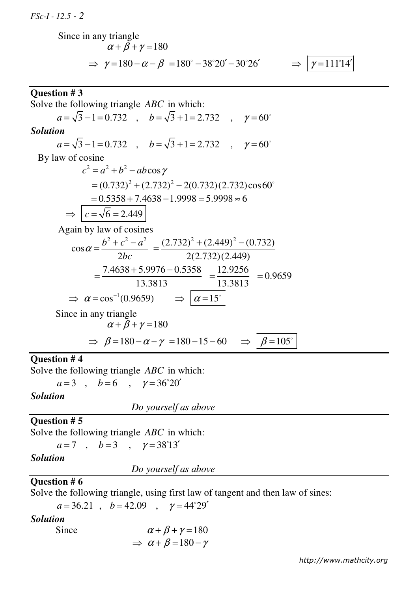*FSc-I - 12.5 - 2*

Since in any triangle  
\n
$$
\alpha + \beta + \gamma = 180
$$
\n
$$
\Rightarrow \gamma = 180 - \alpha - \beta = 180^{\circ} - 38^{\circ}20' - 30^{\circ}26' \Rightarrow \boxed{\gamma = 111^{\circ}14'}
$$

**Question # 3**  Solve the following triangle *ABC* in which:  $a = \sqrt{3} - 1 = 0.732$ ,  $b = \sqrt{3} + 1 = 2.732$ ,  $\gamma = 60^{\circ}$ *Solution*  $a = \sqrt{3} - 1 = 0.732$ ,  $b = \sqrt{3} + 1 = 2.732$ ,  $\gamma = 60^{\circ}$  By law of cosine  $c^2 = a^2 + b^2 - ab \cos \gamma$  $= (0.732)^{2} + (2.732)^{2} - 2(0.732)(2.732)\cos 60^{\circ}$  $= 0.5358 + 7.4638 - 1.9998 = 5.9998 \approx 6$  $\Rightarrow$   $\boxed{c = \sqrt{6} = 2.449}$  Again by law of cosines 2  $a^2$   $a^2$ cos 2  $b^2 + c^2 - a$  $\alpha = \frac{b^2 + c^2 - 2bc}{2bc}$ =  $(2.732)^2 + (2.449)^2 - (0.732)$ 2(2.732)(2.449)  $+(2.449)^{2}$  – =  $7.4638 + 5.9976 - 0.5358$ 13.3813  $+5.9976 =\frac{111030 + 313710}{12.2012}$ 12.9256 13.3813  $=\frac{12.9256}{12.2842}$  = 0.9659  $\Rightarrow \alpha = \cos^{-1}(0.9659) \Rightarrow |\alpha = 15^{\circ}$  Since in any triangle  $\alpha + \beta + \gamma = 180$  $\Rightarrow \beta = 180 - \alpha - \gamma = 180 - 15 - 60 \Rightarrow \beta = 105^{\circ}$ 

### **Question # 4**

Solve the following triangle *ABC* in which:

 $a=3$  ,  $b=6$  ,  $\gamma = 36^{\circ}20'$ 

#### *Solution*

*Do yourself as above*

#### **Question # 5**

Solve the following triangle *ABC* in which:

 $a=7$  ,  $b=3$  ,  $\gamma = 38^{\circ}13'$ 

#### *Solution*

 *Do yourself as above*

#### **Question # 6**

Solve the following triangle, using first law of tangent and then law of sines:

 $a = 36.21$ ,  $b = 42.09$ ,  $\gamma = 44^{\circ}29'$ 

#### *Solution*

Since 
$$
\alpha + \beta + \gamma = 180
$$
  
 $\Rightarrow \alpha + \beta = 180 - \gamma$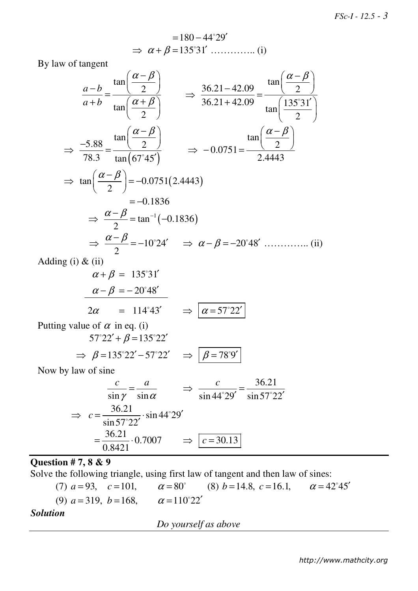$$
=180-44^{\circ}29'
$$
  
\n
$$
\Rightarrow \alpha + \beta = 135^{\circ}31'
$$
............ (i)

By law of tangent

$$
\frac{a-b}{a+b} = \frac{\tan\left(\frac{\alpha-\beta}{2}\right)}{\tan\left(\frac{\alpha+\beta}{2}\right)} \implies \frac{36.21 - 42.09}{36.21 + 42.09} = \frac{\tan\left(\frac{\alpha-\beta}{2}\right)}{\tan\left(\frac{135^\circ31^\prime}{2}\right)}
$$
  

$$
\implies \frac{-5.88}{78.3} = \frac{\tan\left(\frac{\alpha-\beta}{2}\right)}{\tan\left(\frac{67^\circ45^\prime}{2}\right)} \implies -0.0751 = \frac{\tan\left(\frac{\alpha-\beta}{2}\right)}{2.4443}
$$
  

$$
\implies \tan\left(\frac{\alpha-\beta}{2}\right) = -0.0751(2.4443)
$$
  

$$
= -0.1836
$$
  

$$
\implies \frac{\alpha-\beta}{2} = \tan^{-1}(-0.1836)
$$
  

$$
\implies \frac{\alpha-\beta}{2} = -10^\circ 24^\prime \implies \alpha-\beta = -20^\circ 48^\prime \dots \dots \dots \text{ (ii)}
$$

Adding (i) & (ii)

$$
\alpha + \beta = 135^{\circ}31'
$$
  
\n
$$
\alpha - \beta = -20^{\circ}48'
$$
  
\n
$$
2\alpha = 114^{\circ}43' \Rightarrow \boxed{\alpha = 57^{\circ}22'}
$$

Putting value of  $\alpha$  in eq. (i)  $57°22' + \beta = 135°22'$ 

$$
\Rightarrow \beta = 135^{\circ}22' - 57^{\circ}22' \Rightarrow \boxed{\beta = 78^{\circ}9'}
$$

Now by law of sine

$$
\frac{c}{\sin \gamma} = \frac{a}{\sin \alpha} \qquad \Rightarrow \qquad \frac{c}{\sin 44^{\circ} 29'} = \frac{36.21}{\sin 57^{\circ} 22'}
$$

$$
\Rightarrow \qquad c = \frac{36.21}{\sin 57^{\circ} 22'} \cdot \sin 44^{\circ} 29'
$$

$$
= \frac{36.21}{0.8421} \cdot 0.7007 \qquad \Rightarrow \qquad c = 30.13
$$

# **Question # 7, 8 & 9**

Solve the following triangle, using first law of tangent and then law of sines:

(7) 
$$
a = 93
$$
,  $c = 101$ ,  $\alpha = 80^{\circ}$  (8)  $b = 14.8$ ,  $c = 16.1$ ,  $\alpha = 42^{\circ}45'$   
(9)  $a = 319$ ,  $b = 168$ ,  $\alpha = 110^{\circ}22'$ 

### *Solution*

 *Do yourself as above*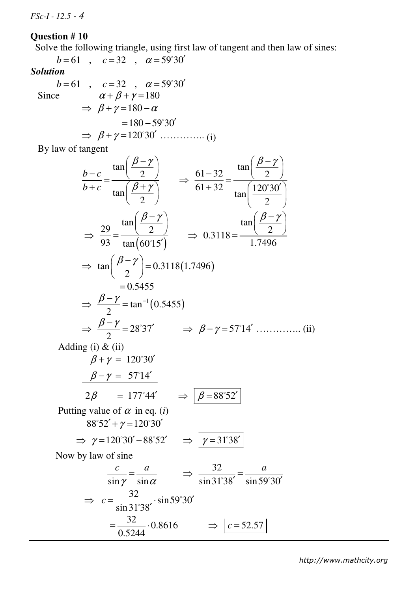*FSc-I - 12.5 - 4*

# **Question # 10**

Solve the following triangle, using first law of tangent and then law of sines:

$$
b = 61 \quad , \quad c = 32 \quad , \quad \alpha = 59^{\circ}30'
$$
  
\nSolution  
\n
$$
b = 61 \quad , \quad c = 32 \quad , \quad \alpha = 59^{\circ}30'
$$
  
\nSince  
\n
$$
\alpha + \beta + \gamma = 180
$$
  
\n
$$
\Rightarrow \beta + \gamma = 180 - \alpha
$$
  
\n
$$
= 180 - 59^{\circ}30'
$$
  
\n
$$
\Rightarrow \beta + \gamma = 120^{\circ}30'
$$
........(i)

 $\overline{0.5244}$ 

By law of tangent

$$
\frac{b-c}{b+c} = \frac{\tan\left(\frac{\beta-\gamma}{2}\right)}{\tan\left(\frac{\beta+\gamma}{2}\right)} \implies \frac{61-32}{61+32} = \frac{\tan\left(\frac{\beta-\gamma}{2}\right)}{\tan\left(\frac{120°30'}{2}\right)}
$$
  
\n
$$
\implies \frac{29}{93} = \frac{\tan\left(\frac{\beta-\gamma}{2}\right)}{\tan(60°15')} \implies 0.3118 = \frac{\tan\left(\frac{\beta-\gamma}{2}\right)}{1.7496}
$$
  
\n
$$
\implies \tan\left(\frac{\beta-\gamma}{2}\right) = 0.3118(1.7496)
$$
  
\n
$$
= 0.5455
$$
  
\n
$$
\implies \frac{\beta-\gamma}{2} = \tan^{-1}(0.5455)
$$
  
\n
$$
\implies \frac{\beta-\gamma}{2} = 28°37' \implies \beta-\gamma=57°14' \text{ ......... (ii)}
$$
  
\nAdding (i) & (ii)  
\n
$$
\beta+\gamma=120°30'
$$
  
\n
$$
\frac{\beta-\gamma=57°14'}{2\beta} = 177°44' \implies \boxed{\beta=88°52'}
$$
  
\nPutting value of  $\alpha$  in eq. (i)  
\n
$$
88°52' + \gamma=120°30'
$$
  
\n
$$
\implies \gamma=120°30'-88°52' \implies \boxed{\gamma=31°38'}
$$
  
\nNow by law of sine  
\n
$$
\frac{c}{\sin\gamma} = \frac{a}{\sin\alpha} \implies \frac{32}{\sin 31°38'} = \frac{a}{\sin 59°30'}
$$
  
\n
$$
\implies \frac{32}{\sin 31°38} \cdot \sin 59°30'
$$
  
\n
$$
= \frac{32}{\cos 2\alpha} \cdot 0.8616 \implies \boxed{c = 52.57}
$$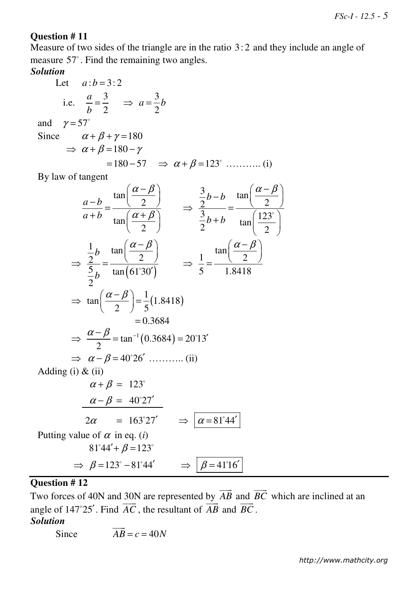# **Question # 11**

Measure of two sides of the triangle are in the ratio 3: 2 and they include an angle of measure 57°. Find the remaining two angles.

# *Solution*

Let 
$$
a:b=3:2
$$
  
\ni.e.  $\frac{a}{b} = \frac{3}{2} \implies a = \frac{3}{2}b$   
\nand  $\gamma = 57^{\circ}$   
\nSince  $\alpha + \beta + \gamma = 180$   
\n $\implies \alpha + \beta = 180 - \gamma$   
\n $= 180 - 57 \implies \alpha + \beta = 123^{\circ}$  ......... (i)

By law of tangent

$$
\frac{a-b}{a+b} = \frac{\tan\left(\frac{\alpha-\beta}{2}\right)}{\tan\left(\frac{\alpha+\beta}{2}\right)} \Rightarrow \frac{\frac{3}{2}b-b}{\frac{3}{2}b+b} = \frac{\tan\left(\frac{\alpha-\beta}{2}\right)}{\tan\left(\frac{123^{\circ}}{2}\right)}
$$
  
\n
$$
\Rightarrow \frac{\frac{1}{2}b}{\frac{5}{2}b} = \frac{\tan\left(\frac{\alpha-\beta}{2}\right)}{\tan(61^{\circ}30^{\circ})} \Rightarrow \frac{1}{5} = \frac{\tan\left(\frac{\alpha-\beta}{2}\right)}{1.8418}
$$
  
\n
$$
\Rightarrow \tan\left(\frac{\alpha-\beta}{2}\right) = \frac{1}{5}(1.8418)
$$
  
\n= 0.3684  
\n
$$
\Rightarrow \frac{\alpha-\beta}{2} = \tan^{-1}(0.3684) = 20^{\circ}13^{\circ}
$$
  
\n
$$
\Rightarrow \alpha-\beta = 40^{\circ}26^{\circ} \dots \dots \dots \text{ (ii)}
$$
  
\nAdding (i) & (ii)  
\n
$$
\alpha + \beta = 123^{\circ}
$$
  
\n
$$
\frac{\alpha-\beta}{2} = 163^{\circ}27^{\prime}
$$
  
\n
$$
2\alpha = 163^{\circ}27^{\prime}
$$
  
\n
$$
2\alpha = 163^{\circ}27^{\prime}
$$
  
\n
$$
\Rightarrow \beta = 123^{\circ} - 81^{\circ}44^{\prime} \Rightarrow \beta = 41^{\circ}16^{\prime}
$$

# **Question # 12**

Two forces of 40N and 30N are represented by *AB*  $\longrightarrow$  and *BC*  $\overline{\phantom{a}}$ 30N are represented by  $AB$  and  $BC$  which are inclined at an angle of 147°25'. Find  $\overrightarrow{AC}$ , the resultant of  $\overrightarrow{AB}$  and  $\overrightarrow{BC}$ .

# *Solution*

Since  $AB = c = 40N$  $\overline{\phantom{a}}$